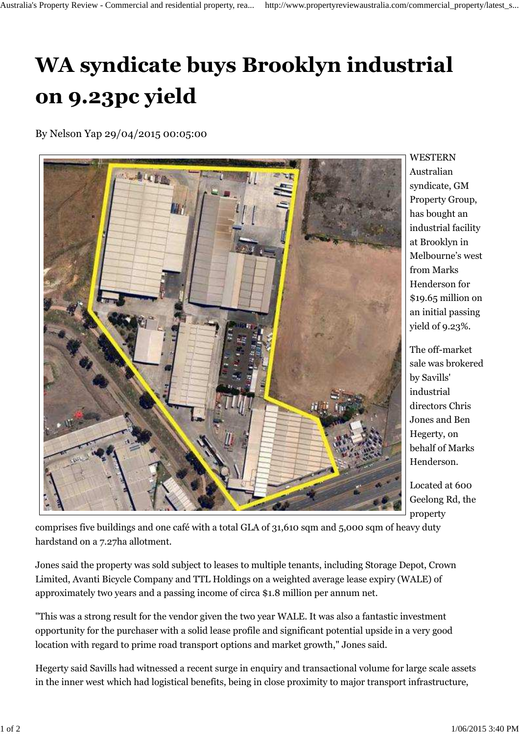## **WA syndicate buys Brooklyn industrial on 9.23pc yield**

By Nelson Yap 29/04/2015 00:05:00



WESTERN Australian syndicate, GM Property Group, has bought an industrial facility at Brooklyn in Melbourne's west from Marks Henderson for \$19.65 million on an initial passing yield of 9.23%.

The off-market sale was brokered by Savills' industrial directors Chris Jones and Ben Hegerty, on behalf of Marks Henderson.

Located at 600 Geelong Rd, the property

comprises five buildings and one café with a total GLA of 31,610 sqm and 5,000 sqm of heavy duty hardstand on a 7.27ha allotment.

Jones said the property was sold subject to leases to multiple tenants, including Storage Depot, Crown Limited, Avanti Bicycle Company and TTL Holdings on a weighted average lease expiry (WALE) of approximately two years and a passing income of circa \$1.8 million per annum net.

"This was a strong result for the vendor given the two year WALE. It was also a fantastic investment opportunity for the purchaser with a solid lease profile and significant potential upside in a very good location with regard to prime road transport options and market growth," Jones said.

Hegerty said Savills had witnessed a recent surge in enquiry and transactional volume for large scale assets in the inner west which had logistical benefits, being in close proximity to major transport infrastructure,